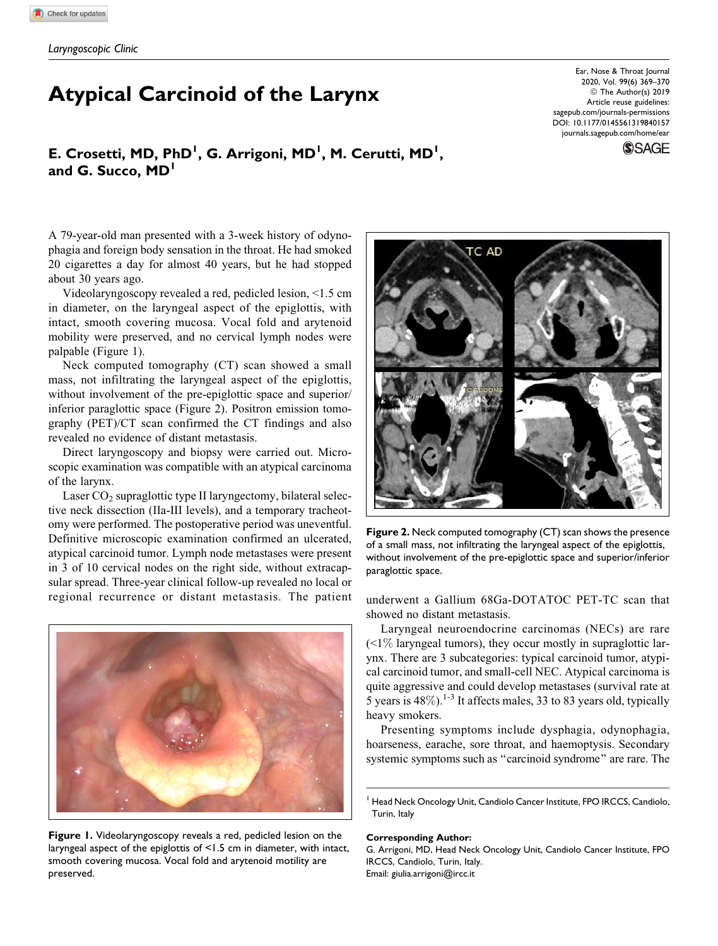# Atypical Carcinoid of the Larynx

Ear, Nose & Throat Journal 2020, Vol. 99(6) 369–370 © The Author(s) 2019 Article reuse guidelines: [sagepub.com/journals-permissions](https://sagepub.com/journals-permissions) [DOI: 10.1177/0145561319840157](https://doi.org/10.1177/0145561319840157) [journals.sagepub.com/home/ear](http://journals.sagepub.com/home/ear)

**SSAGE** 

## E. Crosetti, MD, PhD<sup>1</sup>, G. Arrigoni, MD<sup>1</sup>, M. Cerutti, MD<sup>1</sup>, and G. Succo, MD<sup>1</sup>

A 79-year-old man presented with a 3-week history of odynophagia and foreign body sensation in the throat. He had smoked 20 cigarettes a day for almost 40 years, but he had stopped about 30 years ago.

Videolaryngoscopy revealed a red, pedicled lesion, <1.5 cm in diameter, on the laryngeal aspect of the epiglottis, with intact, smooth covering mucosa. Vocal fold and arytenoid mobility were preserved, and no cervical lymph nodes were palpable (Figure 1).

Neck computed tomography (CT) scan showed a small mass, not infiltrating the laryngeal aspect of the epiglottis, without involvement of the pre-epiglottic space and superior/ inferior paraglottic space (Figure 2). Positron emission tomography (PET)/CT scan confirmed the CT findings and also revealed no evidence of distant metastasis.

Direct laryngoscopy and biopsy were carried out. Microscopic examination was compatible with an atypical carcinoma of the larynx.

Laser  $CO<sub>2</sub>$  supraglottic type II laryngectomy, bilateral selective neck dissection (IIa-III levels), and a temporary tracheotomy were performed. The postoperative period was uneventful. Definitive microscopic examination confirmed an ulcerated, atypical carcinoid tumor. Lymph node metastases were present in 3 of 10 cervical nodes on the right side, without extracapsular spread. Three-year clinical follow-up revealed no local or regional recurrence or distant metastasis. The patient underwent a Gallium 68Ga-DOTATOC PET-TC scan that



Figure 1. Videolaryngoscopy reveals a red, pedicled lesion on the laryngeal aspect of the epiglottis of <1.5 cm in diameter, with intact, smooth covering mucosa. Vocal fold and arytenoid motility are preserved.



Figure 2. Neck computed tomography (CT) scan shows the presence of a small mass, not infiltrating the laryngeal aspect of the epiglottis, without involvement of the pre-epiglottic space and superior/inferior paraglottic space.

showed no distant metastasis.

Laryngeal neuroendocrine carcinomas (NECs) are rare  $(1\%$  laryngeal tumors), they occur mostly in supraglottic larynx. There are 3 subcategories: typical carcinoid tumor, atypical carcinoid tumor, and small-cell NEC. Atypical carcinoma is quite aggressive and could develop metastases (survival rate at 5 years is  $48\%$ ).<sup>1-3</sup> It affects males, 33 to 83 years old, typically heavy smokers.

Presenting symptoms include dysphagia, odynophagia, hoarseness, earache, sore throat, and haemoptysis. Secondary systemic symptoms such as "carcinoid syndrome" are rare. The

#### Corresponding Author:

G. Arrigoni, MD, Head Neck Oncology Unit, Candiolo Cancer Institute, FPO IRCCS, Candiolo, Turin, Italy. Email: [giulia.arrigoni@ircc.it](mailto:giulia.arrigoni@ircc.it)

<sup>&</sup>lt;sup>1</sup> Head Neck Oncology Unit, Candiolo Cancer Institute, FPO IRCCS, Candiolo, Turin, Italy